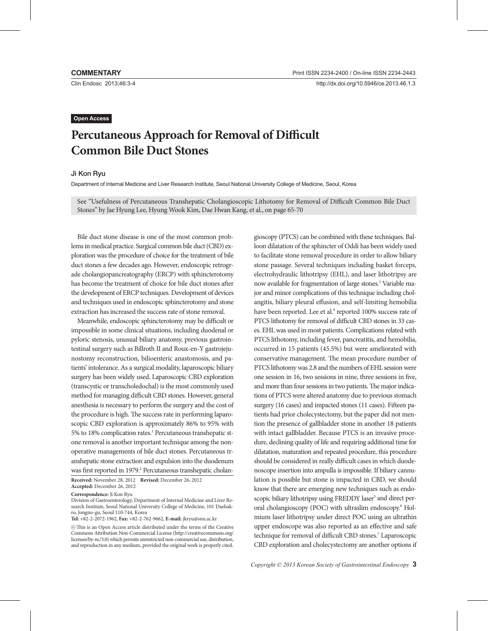Clin Endosc 2013;46:3-4

# **Open Access**

# **Percutaneous Approach for Removal of Difficult Common Bile Duct Stones**

### Ji Kon Ryu

Department of Internal Medicine and Liver Research Institute, Seoul National University College of Medicine, Seoul, Korea

See "Usefulness of Percutaneous Transhepatic Cholangioscopic Lithotomy for Removal of Difficult Common Bile Duct Stones" by Jae Hyung Lee, Hyung Wook Kim, Dae Hwan Kang, et al., on page 65-70

Bile duct stone disease is one of the most common problems in medical practice. Surgical common bile duct (CBD) exploration was the procedure of choice for the treatment of bile duct stones a few decades ago. However, endoscopic retrograde cholangiopancreatography (ERCP) with sphincterotomy has become the treatment of choice for bile duct stones after the development of ERCP techniques. Development of devices and techniques used in endoscopic sphincterotomy and stone extraction has increased the success rate of stone removal.

Meanwhile, endoscopic sphincterotomy may be difficult or impossible in some clinical situations, including duodenal or pyloric stenosis, unusual biliary anatomy, previous gastrointestinal surgery such as Billroth II and Roux-en-Y gastrojejunostomy reconstruction, bilioenteric anastomosis, and patients' intolerance. As a surgical modality, laparoscopic biliary surgery has been widely used. Laparoscopic CBD exploration (transcystic or transcholedochal) is the most commonly used method for managing difficult CBD stones. However, general anesthesia is necessary to perform the surgery and the cost of the procedure is high. The success rate in performing laparoscopic CBD exploration is approximately 86% to 95% with 5% to 18% complication rates.<sup>1</sup> Percutaneous transhepatic stone removal is another important technique among the nonoperative managements of bile duct stones. Percutaneous transhepatic stone extraction and expulsion into the duodenum was first reported in 1979.<sup>2</sup> Percutaneous transhepatic cholan-

**Received:** November 28, 2012 **Revised:** December 26, 2012 **Accepted:** December 26, 2012

**Correspondence:** Ji Kon Ryu

Division of Gastroenterology, Department of Internal Medicine and Liver Research Institute, Seoul National University College of Medicine, 101 Daehakro, Jongno-gu, Seoul 110-744, Korea

**Tel:** +82-2-2072-1962, **Fax:** +82-2-762-9662, **E-mail:** jkryu@snu.ac.kr

 $\circledcirc$  This is an Open Access article distributed under the terms of the Creative Commons Attribution Non-Commercial License (http://creativecommons.org/ licenses/by-nc/3.0) which permits unrestricted non-commercial use, distribution, and reproduction in any medium, provided the original work is properly cited. gioscopy (PTCS) can be combined with these techniques. Balloon dilatation of the sphincter of Oddi has been widely used to facilitate stone removal procedure in order to allow biliary stone passage. Several techniques including basket forceps, electrohydraulic lithotripsy (EHL), and laser lithotripsy are now available for fragmentation of large stones.<sup>3</sup> Variable major and minor complications of this technique including cholangitis, biliary pleural effusion, and self-limiting hemobilia have been reported. Lee et al.<sup>4</sup> reported 100% success rate of PTCS lithotomy for removal of difficult CBD stones in 33 cases. EHL was used in most patients. Complications related with PTCS lithotomy, including fever, pancreatitis, and hemobilia, occurred in 15 patients (45.5%) but were ameliorated with conservative management. The mean procedure number of PTCS lithotomy was 2.8 and the numbers of EHL session were one session in 16, two sessions in nine, three sessions in five, and more than four sessions in two patients. The major indications of PTCS were altered anatomy due to previous stomach surgery (16 cases) and impacted stones (11 cases). Fifteen patients had prior cholecystectomy, but the paper did not mention the presence of gallbladder stone in another 18 patients with intact gallbladder. Because PTCS is an invasive procedure, declining quality of life and requiring additional time for dilatation, maturation and repeated procedure, this procedure should be considered in really difficult cases in which duodenoscope insertion into ampulla is impossible. If biliary cannulation is possible but stone is impacted in CBD, we should know that there are emerging new techniques such as endoscopic biliary lithotripsy using FREDDY laser<sup>5</sup> and direct peroral cholangioscopy (POC) with ultraslim endoscopy.<sup>6</sup> Holmium laser lithotripsy under direct POC using an ultrathin upper endoscope was also reported as an effective and safe technique for removal of difficult CBD stones.<sup>7</sup> Laparoscopic CBD exploration and cholecystectomy are another options if